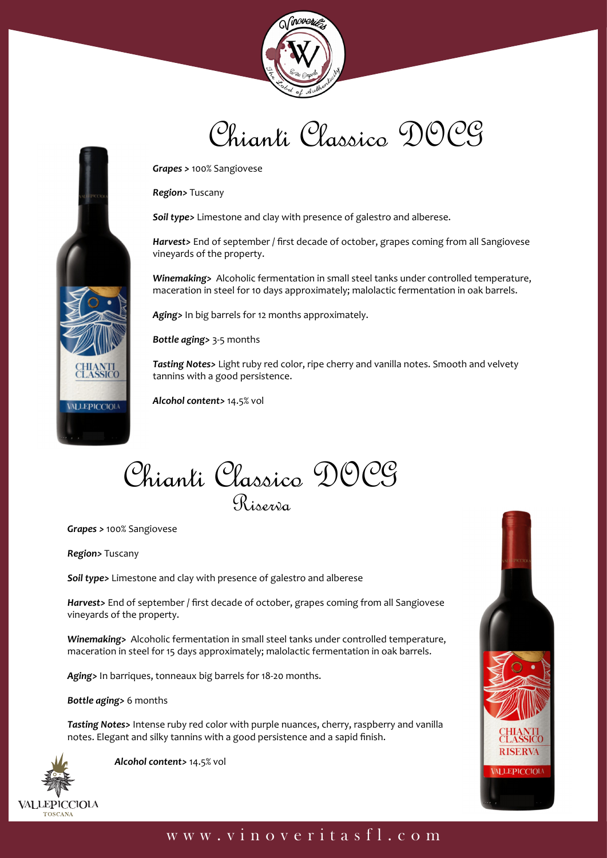

## Chianti Classico DOCG

*Grapes >* 100% Sangiovese

*Region>* Tuscany

*Soil type>* Limestone and clay with presence of galestro and alberese.

*Harvest>* End of september / first decade of october, grapes coming from all Sangiovese vineyards of the property.

*Winemaking>* Alcoholic fermentation in small steel tanks under controlled temperature, maceration in steel for 10 days approximately; malolactic fermentation in oak barrels.

*Aging>* In big barrels for 12 months approximately.

*Bottle aging>* 3-5 months

*Tasting Notes>* Light ruby red color, ripe cherry and vanilla notes. Smooth and velvety tannins with a good persistence.

*Alcohol content>* 14.5% vol

Chianti Classico DOCG R<sub>inerri</sub>a

*Grapes >* 100% Sangiovese

*Region>* Tuscany

CHIANTI<br>CLASSICO

**ALLEPICCIOLA** 

*Soil type>* Limestone and clay with presence of galestro and alberese

*Harvest>* End of september / first decade of october, grapes coming from all Sangiovese vineyards of the property.

*Winemaking>* Alcoholic fermentation in small steel tanks under controlled temperature, maceration in steel for 15 days approximately; malolactic fermentation in oak barrels.

*Aging>* In barriques, tonneaux big barrels for 18-20 months.

*Bottle aging>* 6 months

*Tasting Notes>* Intense ruby red color with purple nuances, cherry, raspberry and vanilla notes. Elegant and silky tannins with a good persistence and a sapid finish.



 *Alcohol content>* 14.5% vol



## www.vinoveritasfl.com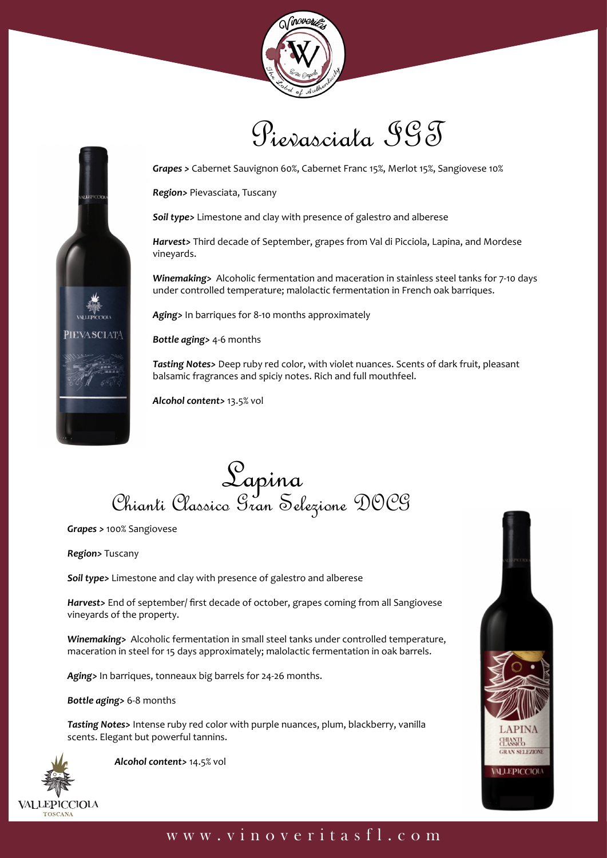

Pievasciata IGT



*Region>* Pievasciata, Tuscany

*Soil type>* Limestone and clay with presence of galestro and alberese

*Harvest>* Third decade of September, grapes from Val di Picciola, Lapina, and Mordese vineyards.

*Winemaking>* Alcoholic fermentation and maceration in stainless steel tanks for 7-10 days under controlled temperature; malolactic fermentation in French oak barriques.

*Aging>* In barriques for 8-10 months approximately

*Bottle aging>* 4-6 months

*Tasting Notes>* Deep ruby red color, with violet nuances. Scents of dark fruit, pleasant balsamic fragrances and spiciy notes. Rich and full mouthfeel.

*Alcohol content>* 13.5% vol

Sapina<br>Chianti Classico Gran Selezione DOCG

*Grapes >* 100% Sangiovese

*Region>* Tuscany

**PIEVASCIATA** 

*Soil type>* Limestone and clay with presence of galestro and alberese

*Harvest>* End of september/ first decade of october, grapes coming from all Sangiovese vineyards of the property.

*Winemaking>* Alcoholic fermentation in small steel tanks under controlled temperature, maceration in steel for 15 days approximately; malolactic fermentation in oak barrels.

*Aging>* In barriques, tonneaux big barrels for 24-26 months.

*Bottle aging>* 6-8 months

*Tasting Notes>* Intense ruby red color with purple nuances, plum, blackberry, vanilla scents. Elegant but powerful tannins.



 *Alcohol content>* 14.5% vol



## www.vinoveritasfl.com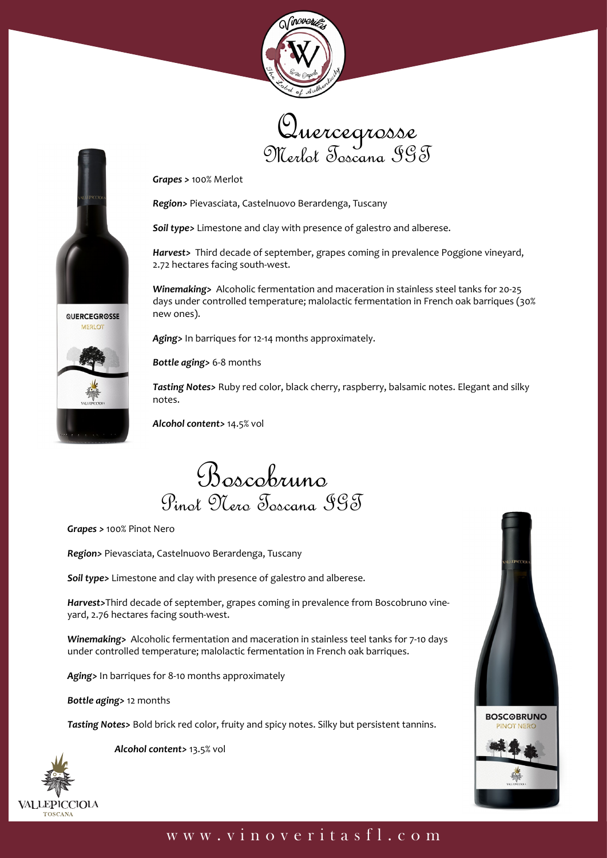





*Grapes >* 100% Merlot

*Region>* Pievasciata, Castelnuovo Berardenga, Tuscany

*Soil type>* Limestone and clay with presence of galestro and alberese.

*Harvest>* Third decade of september, grapes coming in prevalence Poggione vineyard, 2.72 hectares facing south-west.

*Winemaking>* Alcoholic fermentation and maceration in stainless steel tanks for 20-25 days under controlled temperature; malolactic fermentation in French oak barriques (30% new ones).

*Aging>* In barriques for 12-14 months approximately.

*Bottle aging>* 6-8 months

*Tasting Notes>* Ruby red color, black cherry, raspberry, balsamic notes. Elegant and silky notes.

*Alcohol content>* 14.5% vol

Boscobruno Pinot Nero Toscana IGT

*Grapes >* 100% Pinot Nero

*Region>* Pievasciata, Castelnuovo Berardenga, Tuscany

*Soil type>* Limestone and clay with presence of galestro and alberese.

*Harvest>*Third decade of september, grapes coming in prevalence from Boscobruno vineyard, 2.76 hectares facing south-west.

*Winemaking>* Alcoholic fermentation and maceration in stainless teel tanks for 7-10 days under controlled temperature; malolactic fermentation in French oak barriques.

*Aging>* In barriques for 8-10 months approximately

*Bottle aging>* 12 months

*Tasting Notes>* Bold brick red color, fruity and spicy notes. Silky but persistent tannins.

**VALLEPICCIOLA** TOSCANA

 *Alcohol content>* 13.5% vol



## www.vinoveritasfl.com